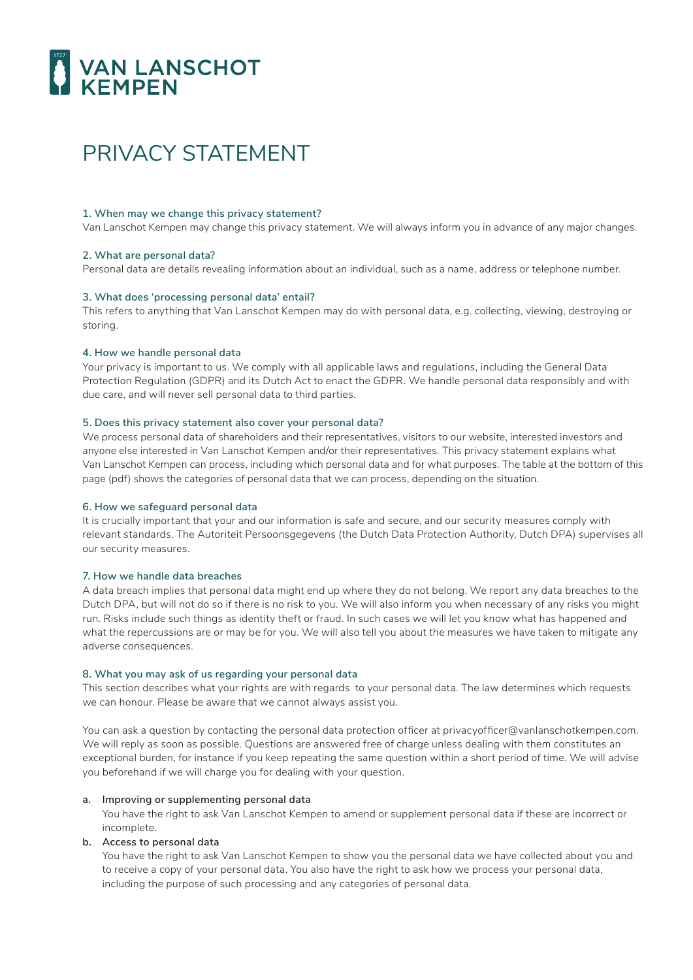# VAN LANSCHOT

# PRIVACY STATEMENT

#### **1. When may we change this privacy statement?**

Van Lanschot Kempen may change this privacy statement. We will always inform you in advance of any major changes.

# **2. What are personal data?**

Personal data are details revealing information about an individual, such as a name, address or telephone number.

# **3. What does 'processing personal data' entail?**

This refers to anything that Van Lanschot Kempen may do with personal data, e.g. collecting, viewing, destroying or storing.

#### **4. How we handle personal data**

Your privacy is important to us. We comply with all applicable laws and regulations, including the General Data Protection Regulation (GDPR) and its Dutch Act to enact the GDPR. We handle personal data responsibly and with due care, and will never sell personal data to third parties.

# **5. Does this privacy statement also cover your personal data?**

We process personal data of shareholders and their representatives, visitors to our website, interested investors and anyone else interested in Van Lanschot Kempen and/or their representatives. This privacy statement explains what Van Lanschot Kempen can process, including which personal data and for what purposes. The table at the bottom of this page (pdf) shows the categories of personal data that we can process, depending on the situation.

#### **6. How we safeguard personal data**

It is crucially important that your and our information is safe and secure, and our security measures comply with relevant standards. The Autoriteit Persoonsgegevens (the Dutch Data Protection Authority, Dutch DPA) supervises all our security measures.

# **7. How we handle data breaches**

A data breach implies that personal data might end up where they do not belong. We report any data breaches to the Dutch DPA, but will not do so if there is no risk to you. We will also inform you when necessary of any risks you might run. Risks include such things as identity theft or fraud. In such cases we will let you know what has happened and what the repercussions are or may be for you. We will also tell you about the measures we have taken to mitigate any adverse consequences.

#### **8. What you may ask of us regarding your personal data**

This section describes what your rights are with regards to your personal data. The law determines which requests we can honour. Please be aware that we cannot always assist you.

You can ask a question by contacting the personal data protection officer at privacyofficer@vanlanschotkempen.com. We will reply as soon as possible. Questions are answered free of charge unless dealing with them constitutes an exceptional burden, for instance if you keep repeating the same question within a short period of time. We will advise you beforehand if we will charge you for dealing with your question.

#### **a. Improving or supplementing personal data**

 You have the right to ask Van Lanschot Kempen to amend or supplement personal data if these are incorrect or incomplete.

# **b. Access to personal data**

 You have the right to ask Van Lanschot Kempen to show you the personal data we have collected about you and to receive a copy of your personal data. You also have the right to ask how we process your personal data, including the purpose of such processing and any categories of personal data.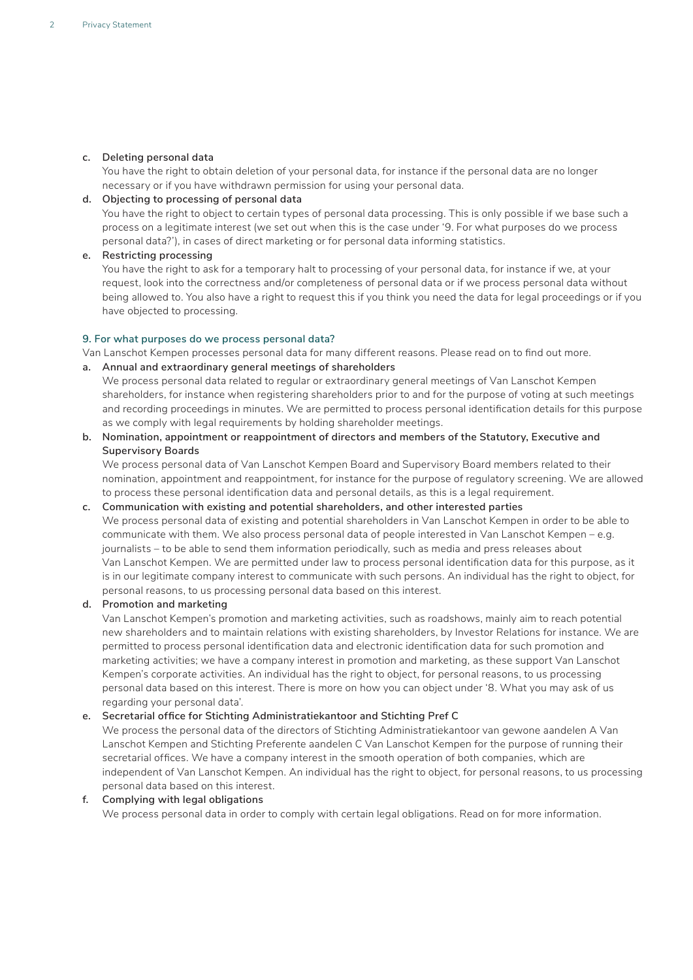# **c. Deleting personal data**

 You have the right to obtain deletion of your personal data, for instance if the personal data are no longer necessary or if you have withdrawn permission for using your personal data.

# **d. Objecting to processing of personal data**

 You have the right to object to certain types of personal data processing. This is only possible if we base such a process on a legitimate interest (we set out when this is the case under '9. For what purposes do we process personal data?'), in cases of direct marketing or for personal data informing statistics.

# **e. Restricting processing**

 You have the right to ask for a temporary halt to processing of your personal data, for instance if we, at your request, look into the correctness and/or completeness of personal data or if we process personal data without being allowed to. You also have a right to request this if you think you need the data for legal proceedings or if you have objected to processing.

# **9. For what purposes do we process personal data?**

Van Lanschot Kempen processes personal data for many different reasons. Please read on to find out more.

**a. Annual and extraordinary general meetings of shareholders**

 We process personal data related to regular or extraordinary general meetings of Van Lanschot Kempen shareholders, for instance when registering shareholders prior to and for the purpose of voting at such meetings and recording proceedings in minutes. We are permitted to process personal identification details for this purpose as we comply with legal requirements by holding shareholder meetings.

**b. Nomination, appointment or reappointment of directors and members of the Statutory, Executive and Supervisory Boards**

 We process personal data of Van Lanschot Kempen Board and Supervisory Board members related to their nomination, appointment and reappointment, for instance for the purpose of regulatory screening. We are allowed to process these personal identification data and personal details, as this is a legal requirement.

#### **c. Communication with existing and potential shareholders, and other interested parties**

 We process personal data of existing and potential shareholders in Van Lanschot Kempen in order to be able to communicate with them. We also process personal data of people interested in Van Lanschot Kempen – e.g. journalists – to be able to send them information periodically, such as media and press releases about Van Lanschot Kempen. We are permitted under law to process personal identification data for this purpose, as it is in our legitimate company interest to communicate with such persons. An individual has the right to object, for personal reasons, to us processing personal data based on this interest.

# **d. Promotion and marketing**

 Van Lanschot Kempen's promotion and marketing activities, such as roadshows, mainly aim to reach potential new shareholders and to maintain relations with existing shareholders, by Investor Relations for instance. We are permitted to process personal identification data and electronic identification data for such promotion and marketing activities; we have a company interest in promotion and marketing, as these support Van Lanschot Kempen's corporate activities. An individual has the right to object, for personal reasons, to us processing personal data based on this interest. There is more on how you can object under '8. What you may ask of us regarding your personal data'.

# **e. Secretarial office for Stichting Administratiekantoor and Stichting Pref C**

 We process the personal data of the directors of Stichting Administratiekantoor van gewone aandelen A Van Lanschot Kempen and Stichting Preferente aandelen C Van Lanschot Kempen for the purpose of running their secretarial offices. We have a company interest in the smooth operation of both companies, which are independent of Van Lanschot Kempen. An individual has the right to object, for personal reasons, to us processing personal data based on this interest.

#### **f. Complying with legal obligations**

We process personal data in order to comply with certain legal obligations. Read on for more information.